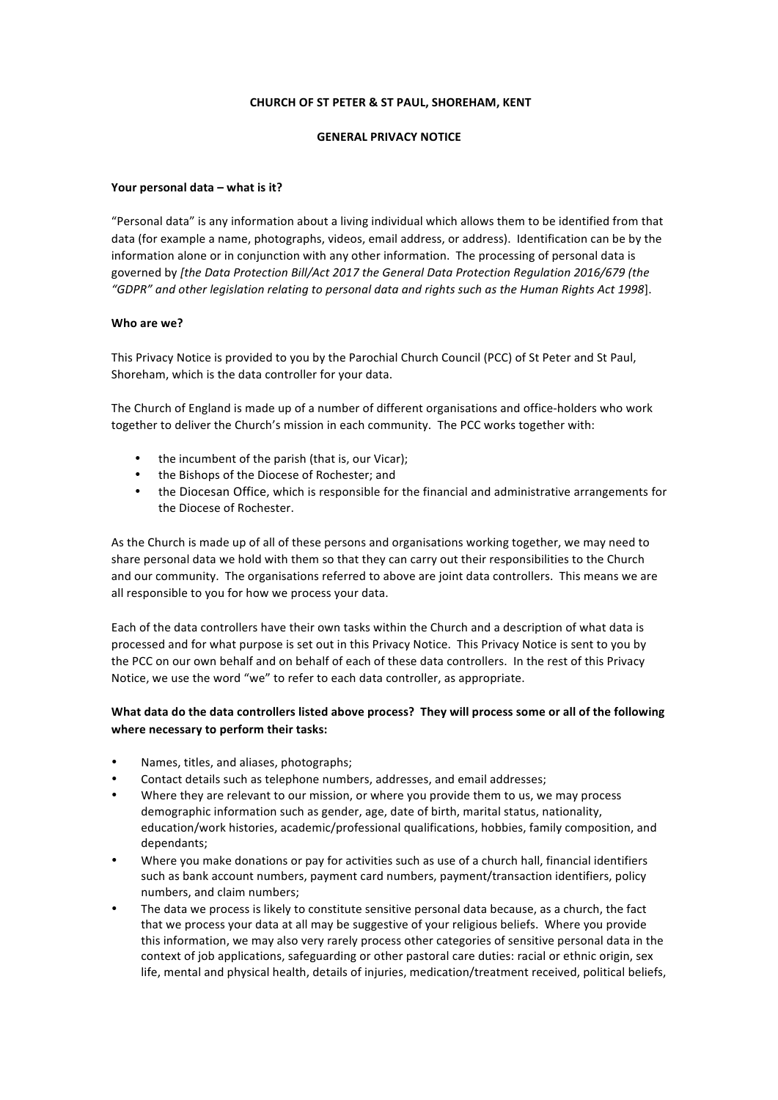## **CHURCH OF ST PETER & ST PAUL, SHOREHAM, KENT**

## **GENERAL PRIVACY NOTICE**

#### Your personal data – what is it?

"Personal data" is any information about a living individual which allows them to be identified from that data (for example a name, photographs, videos, email address, or address). Identification can be by the information alone or in conjunction with any other information. The processing of personal data is governed by [the Data Protection Bill/Act 2017 the General Data Protection Regulation 2016/679 (the "GDPR" and other legislation relating to personal data and rights such as the Human Rights Act 1998].

#### **Who are we?**

This Privacy Notice is provided to you by the Parochial Church Council (PCC) of St Peter and St Paul, Shoreham, which is the data controller for your data.

The Church of England is made up of a number of different organisations and office-holders who work together to deliver the Church's mission in each community. The PCC works together with:

- the incumbent of the parish (that is, our Vicar);
- the Bishops of the Diocese of Rochester; and
- the Diocesan Office, which is responsible for the financial and administrative arrangements for the Diocese of Rochester.

As the Church is made up of all of these persons and organisations working together, we may need to share personal data we hold with them so that they can carry out their responsibilities to the Church and our community. The organisations referred to above are joint data controllers. This means we are all responsible to you for how we process your data.

Each of the data controllers have their own tasks within the Church and a description of what data is processed and for what purpose is set out in this Privacy Notice. This Privacy Notice is sent to you by the PCC on our own behalf and on behalf of each of these data controllers. In the rest of this Privacy Notice, we use the word "we" to refer to each data controller, as appropriate.

# What data do the data controllers listed above process? They will process some or all of the following where necessary to perform their tasks:

- Names, titles, and aliases, photographs;
- Contact details such as telephone numbers, addresses, and email addresses;
- Where they are relevant to our mission, or where you provide them to us, we may process demographic information such as gender, age, date of birth, marital status, nationality, education/work histories, academic/professional qualifications, hobbies, family composition, and dependants;
- Where you make donations or pay for activities such as use of a church hall, financial identifiers such as bank account numbers, payment card numbers, payment/transaction identifiers, policy numbers, and claim numbers;
- The data we process is likely to constitute sensitive personal data because, as a church, the fact that we process your data at all may be suggestive of your religious beliefs. Where you provide this information, we may also very rarely process other categories of sensitive personal data in the context of job applications, safeguarding or other pastoral care duties: racial or ethnic origin, sex life, mental and physical health, details of injuries, medication/treatment received, political beliefs,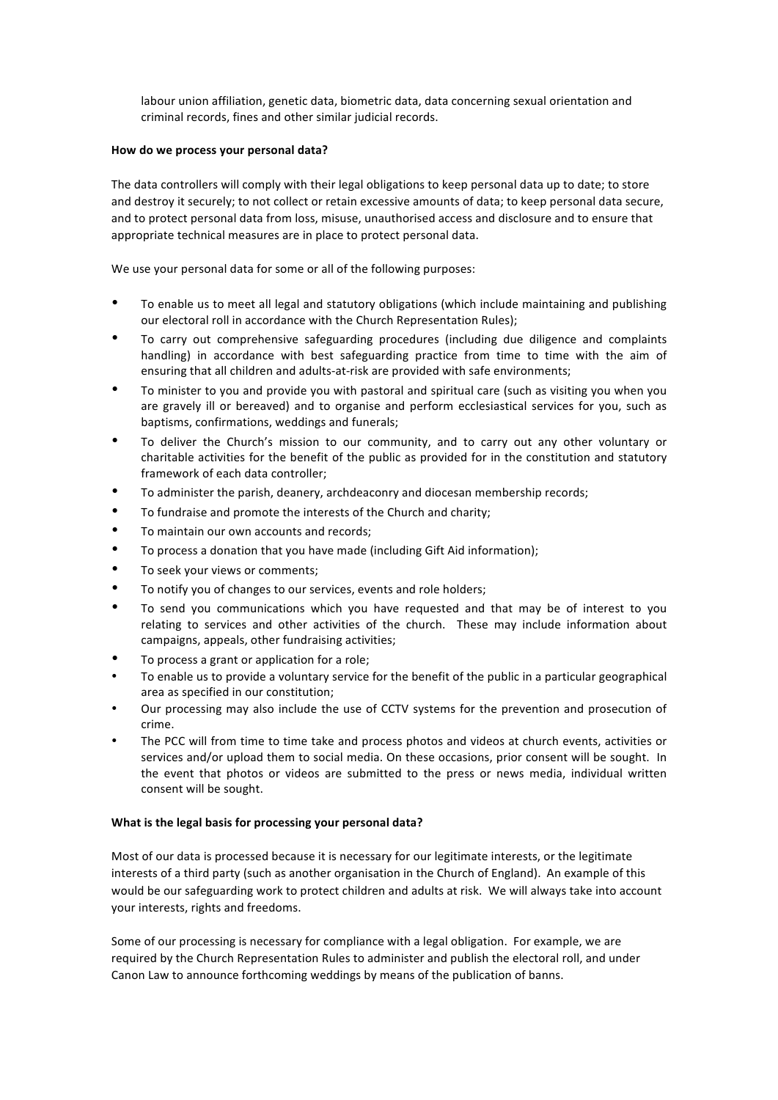labour union affiliation, genetic data, biometric data, data concerning sexual orientation and criminal records, fines and other similar judicial records.

## How do we process your personal data?

The data controllers will comply with their legal obligations to keep personal data up to date; to store and destroy it securely; to not collect or retain excessive amounts of data; to keep personal data secure, and to protect personal data from loss, misuse, unauthorised access and disclosure and to ensure that appropriate technical measures are in place to protect personal data.

We use your personal data for some or all of the following purposes:

- To enable us to meet all legal and statutory obligations (which include maintaining and publishing our electoral roll in accordance with the Church Representation Rules);
- To carry out comprehensive safeguarding procedures (including due diligence and complaints handling) in accordance with best safeguarding practice from time to time with the aim of ensuring that all children and adults-at-risk are provided with safe environments;
- To minister to you and provide you with pastoral and spiritual care (such as visiting you when you are gravely ill or bereaved) and to organise and perform ecclesiastical services for you, such as baptisms, confirmations, weddings and funerals;
- To deliver the Church's mission to our community, and to carry out any other voluntary or charitable activities for the benefit of the public as provided for in the constitution and statutory framework of each data controller;
- To administer the parish, deanery, archdeaconry and diocesan membership records;
- To fundraise and promote the interests of the Church and charity;
- To maintain our own accounts and records;
- To process a donation that you have made (including Gift Aid information);
- To seek your views or comments;
- To notify you of changes to our services, events and role holders;
- To send you communications which you have requested and that may be of interest to you relating to services and other activities of the church. These may include information about campaigns, appeals, other fundraising activities;
- To process a grant or application for a role;
- To enable us to provide a voluntary service for the benefit of the public in a particular geographical area as specified in our constitution;
- Our processing may also include the use of CCTV systems for the prevention and prosecution of crime.
- The PCC will from time to time take and process photos and videos at church events, activities or services and/or upload them to social media. On these occasions, prior consent will be sought. In the event that photos or videos are submitted to the press or news media, individual written consent will be sought.

# **What is the legal basis for processing your personal data?**

Most of our data is processed because it is necessary for our legitimate interests, or the legitimate interests of a third party (such as another organisation in the Church of England). An example of this would be our safeguarding work to protect children and adults at risk. We will always take into account your interests, rights and freedoms.

Some of our processing is necessary for compliance with a legal obligation. For example, we are required by the Church Representation Rules to administer and publish the electoral roll, and under Canon Law to announce forthcoming weddings by means of the publication of banns.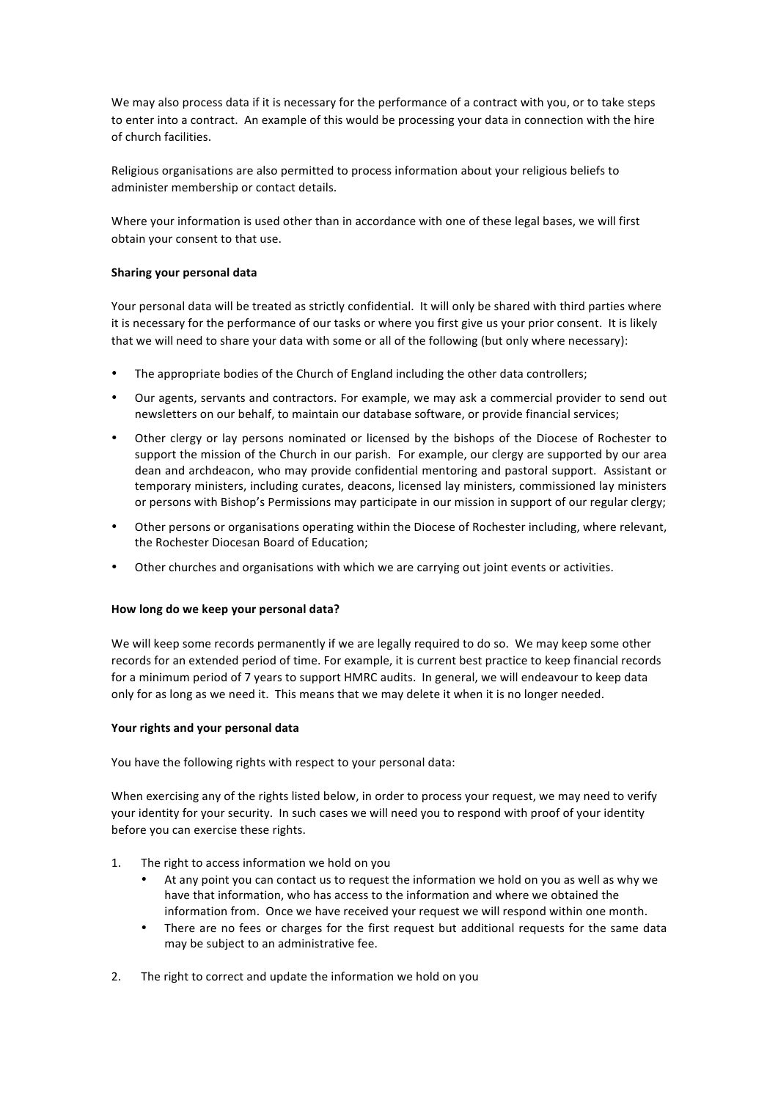We may also process data if it is necessary for the performance of a contract with you, or to take steps to enter into a contract. An example of this would be processing your data in connection with the hire of church facilities.

Religious organisations are also permitted to process information about your religious beliefs to administer membership or contact details.

Where your information is used other than in accordance with one of these legal bases, we will first obtain your consent to that use.

# **Sharing your personal data**

Your personal data will be treated as strictly confidential. It will only be shared with third parties where it is necessary for the performance of our tasks or where you first give us your prior consent. It is likely that we will need to share your data with some or all of the following (but only where necessary):

- The appropriate bodies of the Church of England including the other data controllers;
- Our agents, servants and contractors. For example, we may ask a commercial provider to send out newsletters on our behalf, to maintain our database software, or provide financial services;
- Other clergy or lay persons nominated or licensed by the bishops of the Diocese of Rochester to support the mission of the Church in our parish. For example, our clergy are supported by our area dean and archdeacon, who may provide confidential mentoring and pastoral support. Assistant or temporary ministers, including curates, deacons, licensed lay ministers, commissioned lay ministers or persons with Bishop's Permissions may participate in our mission in support of our regular clergy;
- Other persons or organisations operating within the Diocese of Rochester including, where relevant, the Rochester Diocesan Board of Education:
- Other churches and organisations with which we are carrying out joint events or activities.

#### How long do we keep your personal data?

We will keep some records permanently if we are legally required to do so. We may keep some other records for an extended period of time. For example, it is current best practice to keep financial records for a minimum period of 7 years to support HMRC audits. In general, we will endeavour to keep data only for as long as we need it. This means that we may delete it when it is no longer needed.

#### Your rights and your personal data

You have the following rights with respect to your personal data:

When exercising any of the rights listed below, in order to process your request, we may need to verify your identity for your security. In such cases we will need you to respond with proof of your identity before you can exercise these rights.

- 1. The right to access information we hold on you
	- At any point you can contact us to request the information we hold on you as well as why we have that information, who has access to the information and where we obtained the information from. Once we have received your request we will respond within one month.
	- There are no fees or charges for the first request but additional requests for the same data may be subject to an administrative fee.
- 2. The right to correct and update the information we hold on you